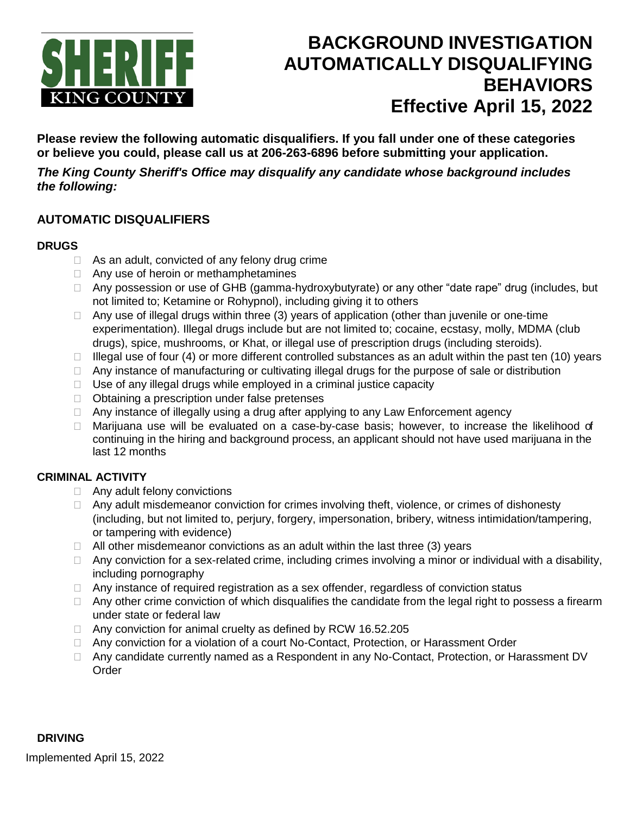

# **BACKGROUND INVESTIGATION AUTOMATICALLY DISQUALIFYING BEHAVIORS Effective April 15, 2022**

**Please review the following automatic disqualifiers. If you fall under one of these categories or believe you could, please call us at 206-263-6896 before submitting your application.**

*The King County Sheriff's Office may disqualify any candidate whose background includes the following:*

## **AUTOMATIC DISQUALIFIERS**

## **DRUGS**

- $\Box$  As an adult, convicted of any felony drug crime
- □ Any use of heroin or methamphetamines
- □ Any possession or use of GHB (gamma-hydroxybutyrate) or any other "date rape" drug (includes, but not limited to; Ketamine or Rohypnol), including giving it to others
- □ Any use of illegal drugs within three (3) years of application (other than juvenile or one-time experimentation). Illegal drugs include but are not limited to; cocaine, ecstasy, molly, MDMA (club drugs), spice, mushrooms, or Khat, or illegal use of prescription drugs (including steroids).
- $\Box$  Illegal use of four (4) or more different controlled substances as an adult within the past ten (10) years
- $\Box$  Any instance of manufacturing or cultivating illegal drugs for the purpose of sale or distribution
- $\Box$  Use of any illegal drugs while employed in a criminal justice capacity
- $\Box$  Obtaining a prescription under false pretenses
- □ Any instance of illegally using a drug after applying to any Law Enforcement agency
- $\Box$  Marijuana use will be evaluated on a case-by-case basis; however, to increase the likelihood of continuing in the hiring and background process, an applicant should not have used marijuana in the last 12 months

## **CRIMINAL ACTIVITY**

- □ Any adult felony convictions
- $\Box$  Any adult misdemeanor conviction for crimes involving theft, violence, or crimes of dishonesty (including, but not limited to, perjury, forgery, impersonation, bribery, witness intimidation/tampering, or tampering with evidence)
- $\Box$  All other misdemeanor convictions as an adult within the last three (3) years
- $\Box$  Any conviction for a sex-related crime, including crimes involving a minor or individual with a disability, including pornography
- $\Box$  Any instance of required registration as a sex offender, regardless of conviction status
- $\Box$  Any other crime conviction of which disqualifies the candidate from the legal right to possess a firearm under state or federal law
- □ Any conviction for animal cruelty as defined by RCW 16.52.205
- □ Any conviction for a violation of a court No-Contact, Protection, or Harassment Order
- □ Any candidate currently named as a Respondent in any No-Contact, Protection, or Harassment DV **Order**